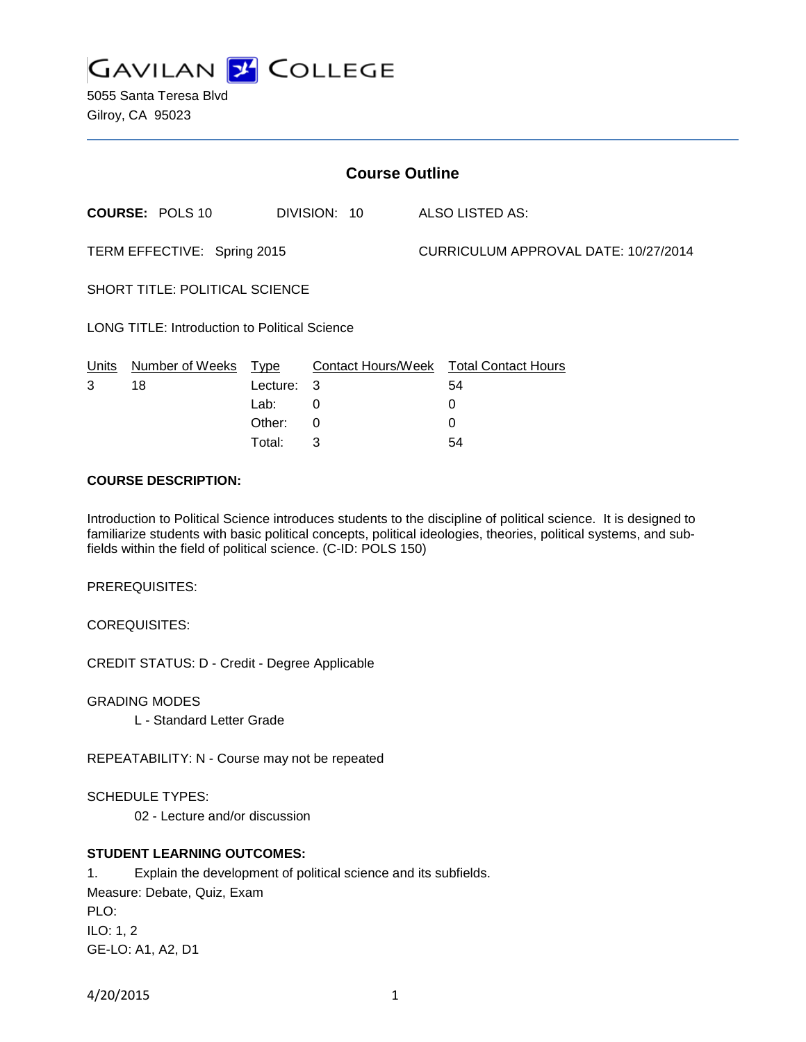

5055 Santa Teresa Blvd Gilroy, CA 95023

| <b>Course Outline</b>                         |                        |          |                    |  |                                      |  |
|-----------------------------------------------|------------------------|----------|--------------------|--|--------------------------------------|--|
|                                               | <b>COURSE: POLS 10</b> |          | DIVISION: 10       |  | ALSO LISTED AS:                      |  |
| TERM EFFECTIVE: Spring 2015                   |                        |          |                    |  | CURRICULUM APPROVAL DATE: 10/27/2014 |  |
| <b>SHORT TITLE: POLITICAL SCIENCE</b>         |                        |          |                    |  |                                      |  |
| LONG TITLE: Introduction to Political Science |                        |          |                    |  |                                      |  |
| Units                                         | Number of Weeks        | Type     | Contact Hours/Week |  | <b>Total Contact Hours</b>           |  |
| 3                                             | 18                     | Lecture: | 3                  |  | 54                                   |  |
|                                               |                        | Lab:     | 0                  |  | 0                                    |  |
|                                               |                        | Other:   | 0                  |  | 0                                    |  |

#### **COURSE DESCRIPTION:**

Introduction to Political Science introduces students to the discipline of political science. It is designed to familiarize students with basic political concepts, political ideologies, theories, political systems, and subfields within the field of political science. (C-ID: POLS 150)

Total: 3 54

PREREQUISITES:

COREQUISITES:

CREDIT STATUS: D - Credit - Degree Applicable

GRADING MODES

L - Standard Letter Grade

REPEATABILITY: N - Course may not be repeated

SCHEDULE TYPES:

02 - Lecture and/or discussion

# **STUDENT LEARNING OUTCOMES:**

1. Explain the development of political science and its subfields. Measure: Debate, Quiz, Exam PLO: ILO: 1, 2 GE-LO: A1, A2, D1

4/20/2015 1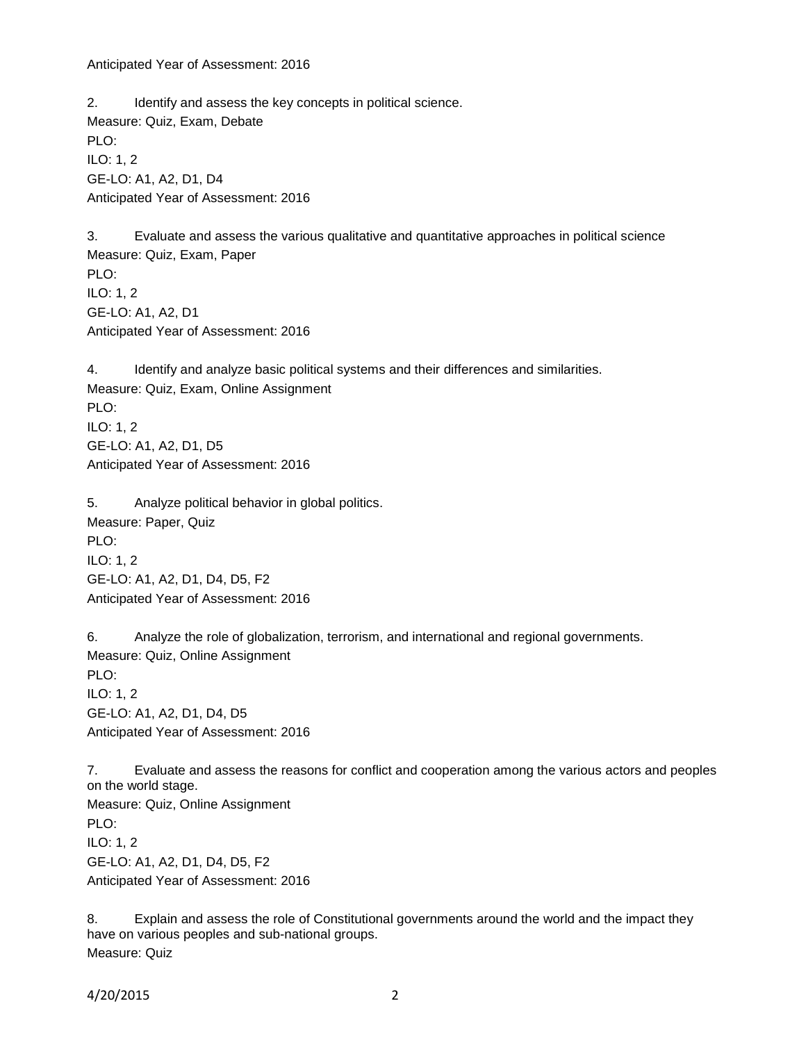Anticipated Year of Assessment: 2016

2. Identify and assess the key concepts in political science. Measure: Quiz, Exam, Debate PLO: ILO: 1, 2 GE-LO: A1, A2, D1, D4 Anticipated Year of Assessment: 2016

3. Evaluate and assess the various qualitative and quantitative approaches in political science Measure: Quiz, Exam, Paper PLO: ILO: 1, 2 GE-LO: A1, A2, D1 Anticipated Year of Assessment: 2016

4. Identify and analyze basic political systems and their differences and similarities. Measure: Quiz, Exam, Online Assignment PLO: ILO: 1, 2 GE-LO: A1, A2, D1, D5 Anticipated Year of Assessment: 2016

5. Analyze political behavior in global politics. Measure: Paper, Quiz PLO: ILO: 1, 2 GE-LO: A1, A2, D1, D4, D5, F2 Anticipated Year of Assessment: 2016

6. Analyze the role of globalization, terrorism, and international and regional governments. Measure: Quiz, Online Assignment PLO: ILO: 1, 2 GE-LO: A1, A2, D1, D4, D5 Anticipated Year of Assessment: 2016

7. Evaluate and assess the reasons for conflict and cooperation among the various actors and peoples on the world stage. Measure: Quiz, Online Assignment PLO: ILO: 1, 2 GE-LO: A1, A2, D1, D4, D5, F2 Anticipated Year of Assessment: 2016

8. Explain and assess the role of Constitutional governments around the world and the impact they have on various peoples and sub-national groups. Measure: Quiz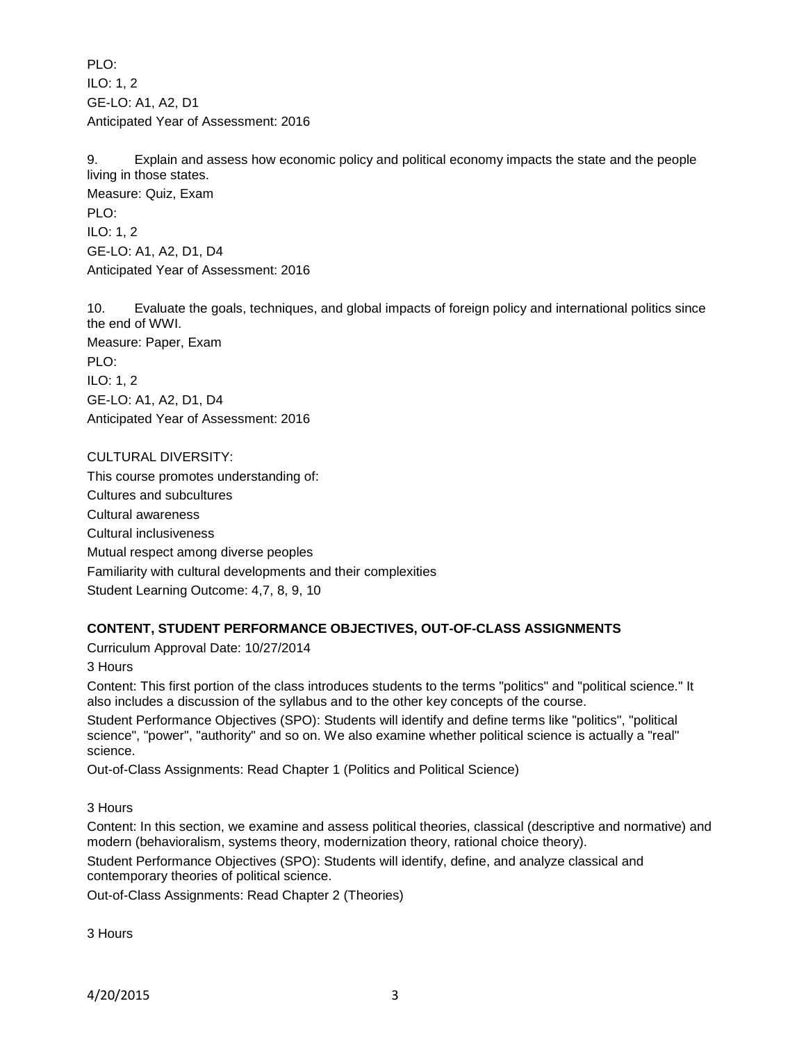PLO: ILO: 1, 2 GE-LO: A1, A2, D1 Anticipated Year of Assessment: 2016

9. Explain and assess how economic policy and political economy impacts the state and the people living in those states.

Measure: Quiz, Exam PLO: ILO: 1, 2 GE-LO: A1, A2, D1, D4 Anticipated Year of Assessment: 2016

10. Evaluate the goals, techniques, and global impacts of foreign policy and international politics since the end of WWI. Measure: Paper, Exam PLO: ILO: 1, 2 GE-LO: A1, A2, D1, D4 Anticipated Year of Assessment: 2016

CULTURAL DIVERSITY: This course promotes understanding of: Cultures and subcultures Cultural awareness Cultural inclusiveness Mutual respect among diverse peoples Familiarity with cultural developments and their complexities Student Learning Outcome: 4,7, 8, 9, 10

# **CONTENT, STUDENT PERFORMANCE OBJECTIVES, OUT-OF-CLASS ASSIGNMENTS**

Curriculum Approval Date: 10/27/2014

3 Hours

Content: This first portion of the class introduces students to the terms "politics" and "political science." It also includes a discussion of the syllabus and to the other key concepts of the course.

Student Performance Objectives (SPO): Students will identify and define terms like "politics", "political science", "power", "authority" and so on. We also examine whether political science is actually a "real" science.

Out-of-Class Assignments: Read Chapter 1 (Politics and Political Science)

3 Hours

Content: In this section, we examine and assess political theories, classical (descriptive and normative) and modern (behavioralism, systems theory, modernization theory, rational choice theory).

Student Performance Objectives (SPO): Students will identify, define, and analyze classical and contemporary theories of political science.

Out-of-Class Assignments: Read Chapter 2 (Theories)

3 Hours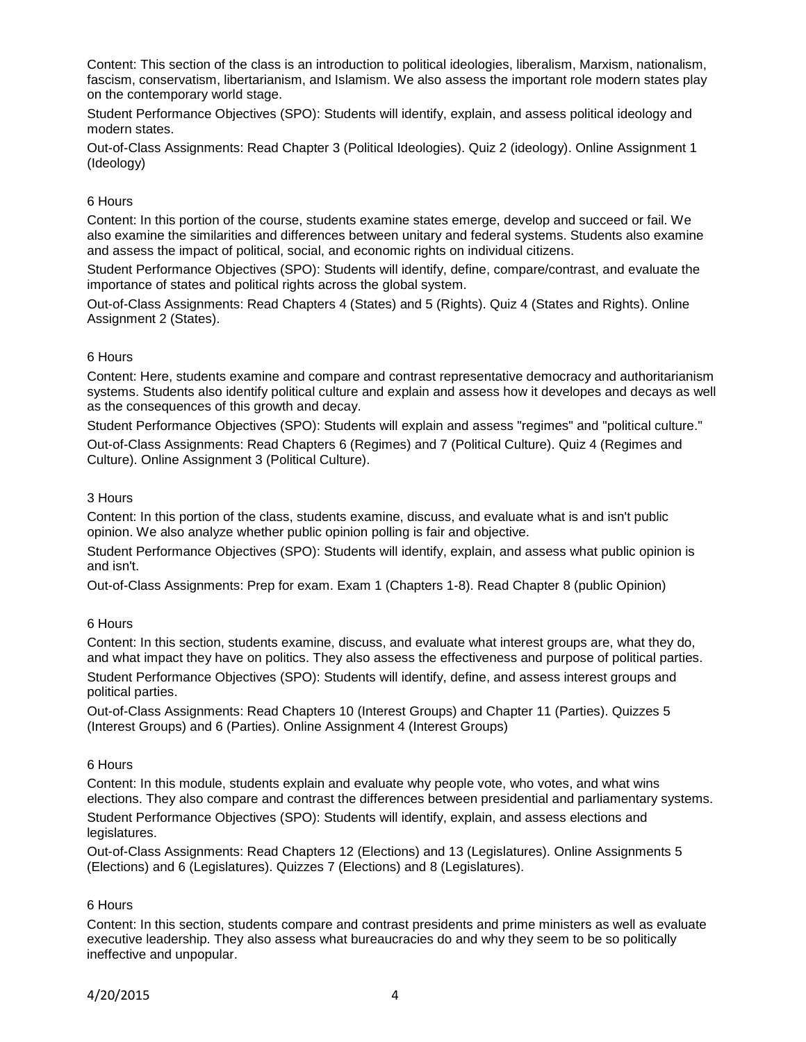Content: This section of the class is an introduction to political ideologies, liberalism, Marxism, nationalism, fascism, conservatism, libertarianism, and Islamism. We also assess the important role modern states play on the contemporary world stage.

Student Performance Objectives (SPO): Students will identify, explain, and assess political ideology and modern states.

Out-of-Class Assignments: Read Chapter 3 (Political Ideologies). Quiz 2 (ideology). Online Assignment 1 (Ideology)

#### 6 Hours

Content: In this portion of the course, students examine states emerge, develop and succeed or fail. We also examine the similarities and differences between unitary and federal systems. Students also examine and assess the impact of political, social, and economic rights on individual citizens.

Student Performance Objectives (SPO): Students will identify, define, compare/contrast, and evaluate the importance of states and political rights across the global system.

Out-of-Class Assignments: Read Chapters 4 (States) and 5 (Rights). Quiz 4 (States and Rights). Online Assignment 2 (States).

# 6 Hours

Content: Here, students examine and compare and contrast representative democracy and authoritarianism systems. Students also identify political culture and explain and assess how it developes and decays as well as the consequences of this growth and decay.

Student Performance Objectives (SPO): Students will explain and assess "regimes" and "political culture."

Out-of-Class Assignments: Read Chapters 6 (Regimes) and 7 (Political Culture). Quiz 4 (Regimes and Culture). Online Assignment 3 (Political Culture).

#### 3 Hours

Content: In this portion of the class, students examine, discuss, and evaluate what is and isn't public opinion. We also analyze whether public opinion polling is fair and objective.

Student Performance Objectives (SPO): Students will identify, explain, and assess what public opinion is and isn't.

Out-of-Class Assignments: Prep for exam. Exam 1 (Chapters 1-8). Read Chapter 8 (public Opinion)

# 6 Hours

Content: In this section, students examine, discuss, and evaluate what interest groups are, what they do, and what impact they have on politics. They also assess the effectiveness and purpose of political parties.

Student Performance Objectives (SPO): Students will identify, define, and assess interest groups and political parties.

Out-of-Class Assignments: Read Chapters 10 (Interest Groups) and Chapter 11 (Parties). Quizzes 5 (Interest Groups) and 6 (Parties). Online Assignment 4 (Interest Groups)

#### 6 Hours

Content: In this module, students explain and evaluate why people vote, who votes, and what wins elections. They also compare and contrast the differences between presidential and parliamentary systems. Student Performance Objectives (SPO): Students will identify, explain, and assess elections and legislatures.

Out-of-Class Assignments: Read Chapters 12 (Elections) and 13 (Legislatures). Online Assignments 5 (Elections) and 6 (Legislatures). Quizzes 7 (Elections) and 8 (Legislatures).

# 6 Hours

Content: In this section, students compare and contrast presidents and prime ministers as well as evaluate executive leadership. They also assess what bureaucracies do and why they seem to be so politically ineffective and unpopular.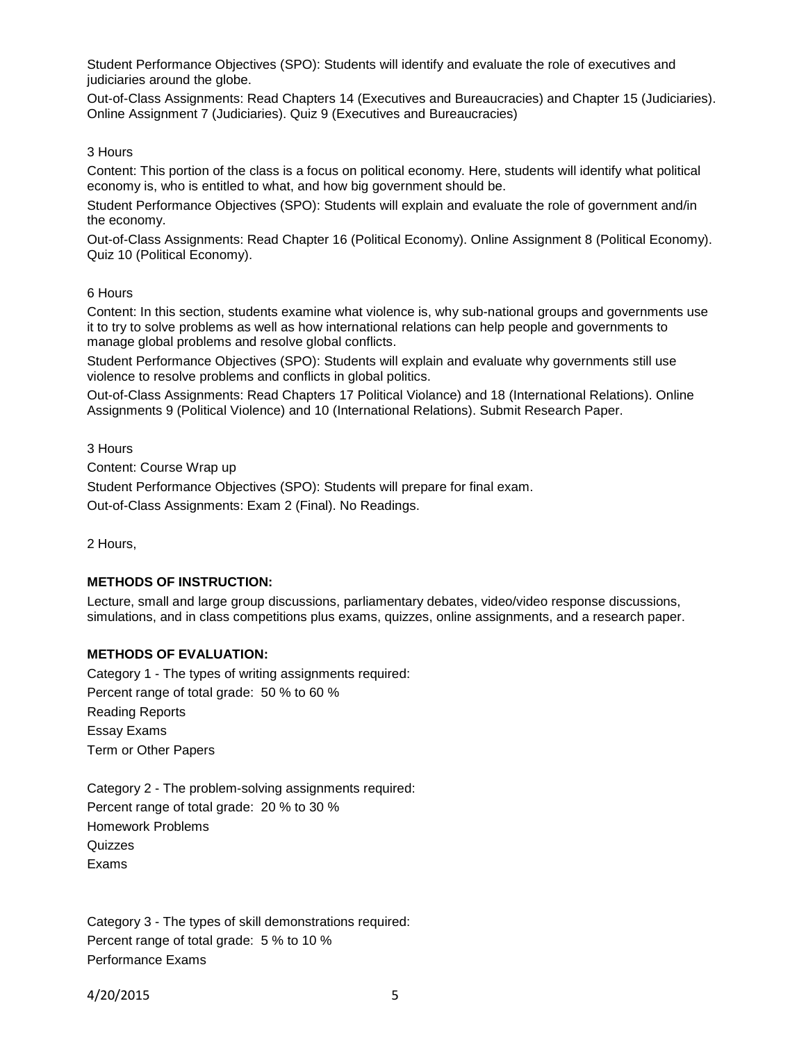Student Performance Objectives (SPO): Students will identify and evaluate the role of executives and judiciaries around the globe.

Out-of-Class Assignments: Read Chapters 14 (Executives and Bureaucracies) and Chapter 15 (Judiciaries). Online Assignment 7 (Judiciaries). Quiz 9 (Executives and Bureaucracies)

# 3 Hours

Content: This portion of the class is a focus on political economy. Here, students will identify what political economy is, who is entitled to what, and how big government should be.

Student Performance Objectives (SPO): Students will explain and evaluate the role of government and/in the economy.

Out-of-Class Assignments: Read Chapter 16 (Political Economy). Online Assignment 8 (Political Economy). Quiz 10 (Political Economy).

#### 6 Hours

Content: In this section, students examine what violence is, why sub-national groups and governments use it to try to solve problems as well as how international relations can help people and governments to manage global problems and resolve global conflicts.

Student Performance Objectives (SPO): Students will explain and evaluate why governments still use violence to resolve problems and conflicts in global politics.

Out-of-Class Assignments: Read Chapters 17 Political Violance) and 18 (International Relations). Online Assignments 9 (Political Violence) and 10 (International Relations). Submit Research Paper.

3 Hours

Content: Course Wrap up

Student Performance Objectives (SPO): Students will prepare for final exam.

Out-of-Class Assignments: Exam 2 (Final). No Readings.

2 Hours,

# **METHODS OF INSTRUCTION:**

Lecture, small and large group discussions, parliamentary debates, video/video response discussions, simulations, and in class competitions plus exams, quizzes, online assignments, and a research paper.

# **METHODS OF EVALUATION:**

Category 1 - The types of writing assignments required: Percent range of total grade: 50 % to 60 % Reading Reports Essay Exams Term or Other Papers

Category 2 - The problem-solving assignments required: Percent range of total grade: 20 % to 30 % Homework Problems **Quizzes** Exams

Category 3 - The types of skill demonstrations required: Percent range of total grade: 5 % to 10 % Performance Exams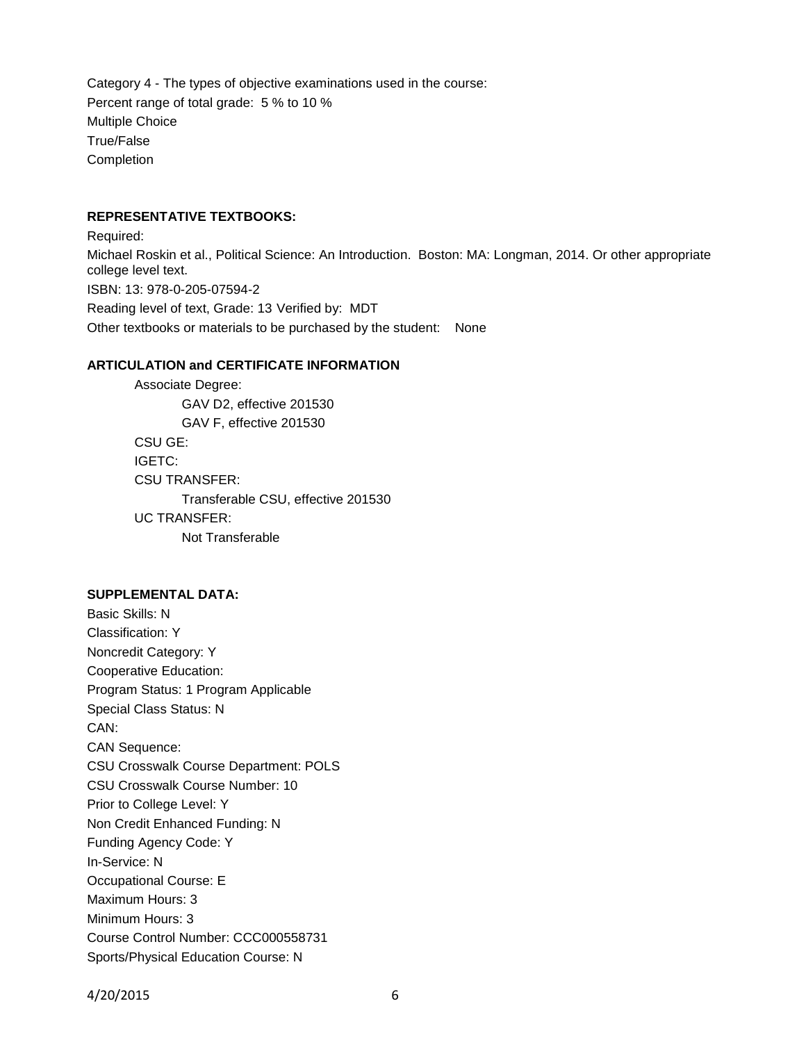Category 4 - The types of objective examinations used in the course: Percent range of total grade: 5 % to 10 % Multiple Choice True/False Completion

#### **REPRESENTATIVE TEXTBOOKS:**

Required: Michael Roskin et al., Political Science: An Introduction. Boston: MA: Longman, 2014. Or other appropriate college level text. ISBN: 13: 978-0-205-07594-2 Reading level of text, Grade: 13 Verified by: MDT Other textbooks or materials to be purchased by the student: None

#### **ARTICULATION and CERTIFICATE INFORMATION**

Associate Degree: GAV D2, effective 201530 GAV F, effective 201530 CSU GE: IGETC: CSU TRANSFER: Transferable CSU, effective 201530 UC TRANSFER: Not Transferable

#### **SUPPLEMENTAL DATA:**

Basic Skills: N Classification: Y Noncredit Category: Y Cooperative Education: Program Status: 1 Program Applicable Special Class Status: N CAN: CAN Sequence: CSU Crosswalk Course Department: POLS CSU Crosswalk Course Number: 10 Prior to College Level: Y Non Credit Enhanced Funding: N Funding Agency Code: Y In-Service: N Occupational Course: E Maximum Hours: 3 Minimum Hours: 3 Course Control Number: CCC000558731 Sports/Physical Education Course: N

4/20/2015 6